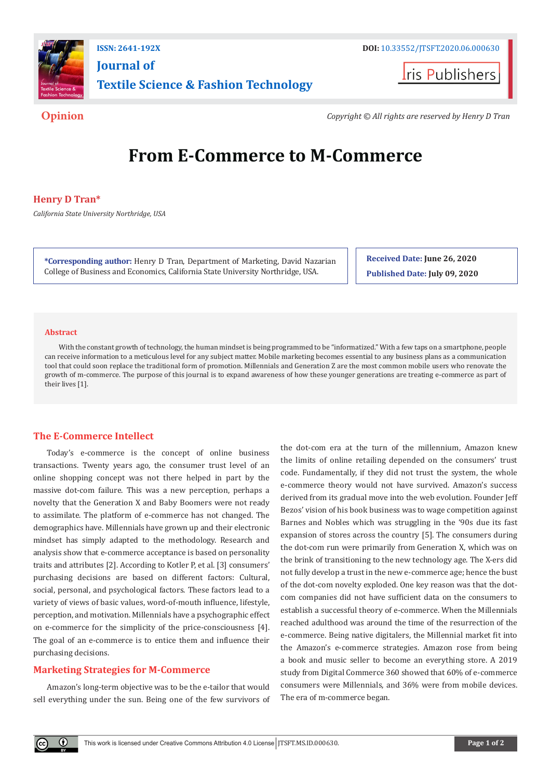

**ISSN: 2641-192X DOI:** [10.33552/JTSFT.2020.06.000630](http://dx.doi.org/10.33552/JTSFT.2020.06.000630) **[Journal of](https://irispublishers.com/jtsft/)  [Textile Science & Fashion Technology](https://irispublishers.com/jtsft/)**

**I**ris Publishers

**Opinion** *Copyright © All rights are reserved by Henry D Tran*

# **From E-Commerce to M-Commerce**

# **Henry D Tran\***

*California State University Northridge, USA*

**\*Corresponding author:** Henry D Tran, Department of Marketing, David Nazarian College of Business and Economics, California State University Northridge, USA.

**Received Date: June 26, 2020 Published Date: July 09, 2020**

#### **Abstract**

With the constant growth of technology, the human mindset is being programmed to be "informatized." With a few taps on a smartphone, people can receive information to a meticulous level for any subject matter. Mobile marketing becomes essential to any business plans as a communication tool that could soon replace the traditional form of promotion. Millennials and Generation Z are the most common mobile users who renovate the growth of m-commerce. The purpose of this journal is to expand awareness of how these younger generations are treating e-commerce as part of their lives [1].

### **The E-Commerce Intellect**

Today's e-commerce is the concept of online business transactions. Twenty years ago, the consumer trust level of an online shopping concept was not there helped in part by the massive dot-com failure. This was a new perception, perhaps a novelty that the Generation X and Baby Boomers were not ready to assimilate. The platform of e-commerce has not changed. The demographics have. Millennials have grown up and their electronic mindset has simply adapted to the methodology. Research and analysis show that e-commerce acceptance is based on personality traits and attributes [2]. According to Kotler P, et al. [3] consumers' purchasing decisions are based on different factors: Cultural, social, personal, and psychological factors. These factors lead to a variety of views of basic values, word-of-mouth influence, lifestyle, perception, and motivation. Millennials have a psychographic effect on e-commerce for the simplicity of the price-consciousness [4]. The goal of an e-commerce is to entice them and influence their purchasing decisions.

# **Marketing Strategies for M-Commerce**

 $\odot$ 

Amazon's long-term objective was to be the e-tailor that would sell everything under the sun. Being one of the few survivors of the dot-com era at the turn of the millennium, Amazon knew the limits of online retailing depended on the consumers' trust code. Fundamentally, if they did not trust the system, the whole e-commerce theory would not have survived. Amazon's success derived from its gradual move into the web evolution. Founder Jeff Bezos' vision of his book business was to wage competition against Barnes and Nobles which was struggling in the '90s due its fast expansion of stores across the country [5]. The consumers during the dot-com run were primarily from Generation X, which was on the brink of transitioning to the new technology age. The X-ers did not fully develop a trust in the new e-commerce age; hence the bust of the dot-com novelty exploded. One key reason was that the dotcom companies did not have sufficient data on the consumers to establish a successful theory of e-commerce. When the Millennials reached adulthood was around the time of the resurrection of the e-commerce. Being native digitalers, the Millennial market fit into the Amazon's e-commerce strategies. Amazon rose from being a book and music seller to become an everything store. A 2019 study from Digital Commerce 360 showed that 60% of e-commerce consumers were Millennials, and 36% were from mobile devices. The era of m-commerce began.